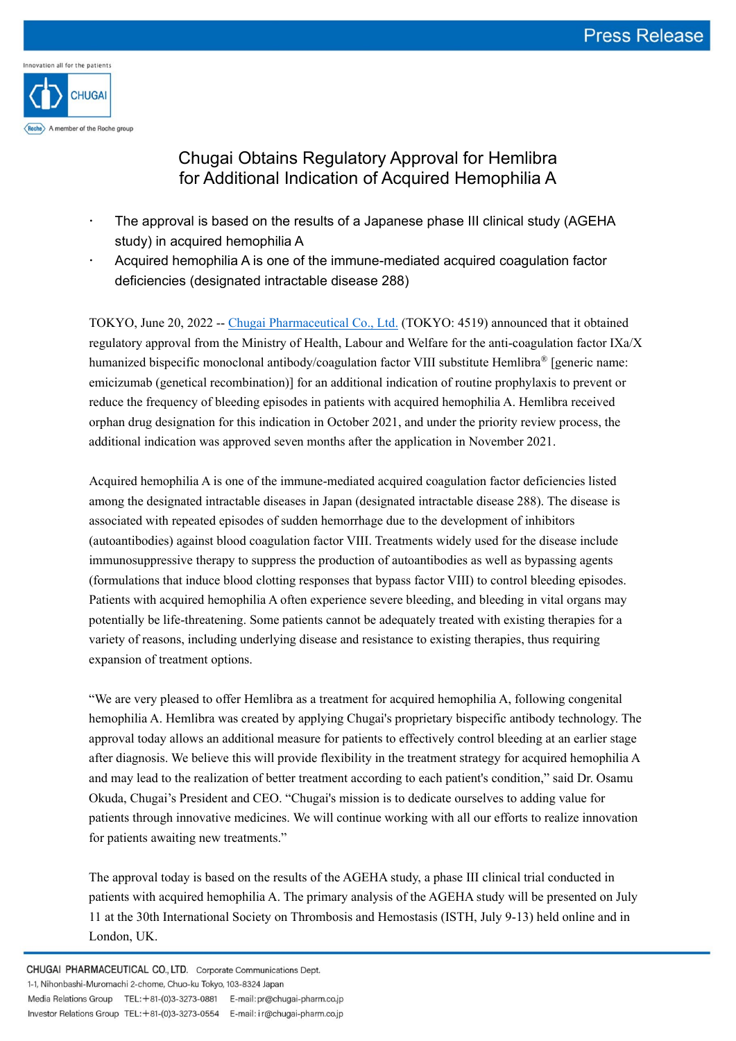

# Chugai Obtains Regulatory Approval for Hemlibra for Additional Indication of Acquired Hemophilia A

- The approval is based on the results of a Japanese phase III clinical study (AGEHA study) in acquired hemophilia A
- Acquired hemophilia A is one of the immune-mediated acquired coagulation factor deficiencies (designated intractable disease 288)

TOKYO, June 20, 2022 -- [Chugai Pharmaceutical Co., Ltd.](https://www.chugai-pharm.co.jp/english/index.html) (TOKYO: 4519) announced that it obtained regulatory approval from the Ministry of Health, Labour and Welfare for the anti-coagulation factor IXa/X humanized bispecific monoclonal antibody/coagulation factor VIII substitute Hemlibra<sup>®</sup> [generic name: emicizumab (genetical recombination)] for an additional indication of routine prophylaxis to prevent or reduce the frequency of bleeding episodes in patients with acquired hemophilia A. Hemlibra received orphan drug designation for this indication in October 2021, and under the priority review process, the additional indication was approved seven months after the application in November 2021.

Acquired hemophilia A is one of the immune-mediated acquired coagulation factor deficiencies listed among the designated intractable diseases in Japan (designated intractable disease 288). The disease is associated with repeated episodes of sudden hemorrhage due to the development of inhibitors (autoantibodies) against blood coagulation factor VIII. Treatments widely used for the disease include immunosuppressive therapy to suppress the production of autoantibodies as well as bypassing agents (formulations that induce blood clotting responses that bypass factor VIII) to control bleeding episodes. Patients with acquired hemophilia A often experience severe bleeding, and bleeding in vital organs may potentially be life-threatening. Some patients cannot be adequately treated with existing therapies for a variety of reasons, including underlying disease and resistance to existing therapies, thus requiring expansion of treatment options.

"We are very pleased to offer Hemlibra as a treatment for acquired hemophilia A, following congenital hemophilia A. Hemlibra was created by applying Chugai's proprietary bispecific antibody technology. The approval today allows an additional measure for patients to effectively control bleeding at an earlier stage after diagnosis. We believe this will provide flexibility in the treatment strategy for acquired hemophilia A and may lead to the realization of better treatment according to each patient's condition," said Dr. Osamu Okuda, Chugai's President and CEO. "Chugai's mission is to dedicate ourselves to adding value for patients through innovative medicines. We will continue working with all our efforts to realize innovation for patients awaiting new treatments."

The approval today is based on the results of the AGEHA study, a phase III clinical trial conducted in patients with acquired hemophilia A. The primary analysis of the AGEHA study will be presented on July 11 at the 30th International Society on Thrombosis and Hemostasis (ISTH, July 9-13) held online and in London, UK.